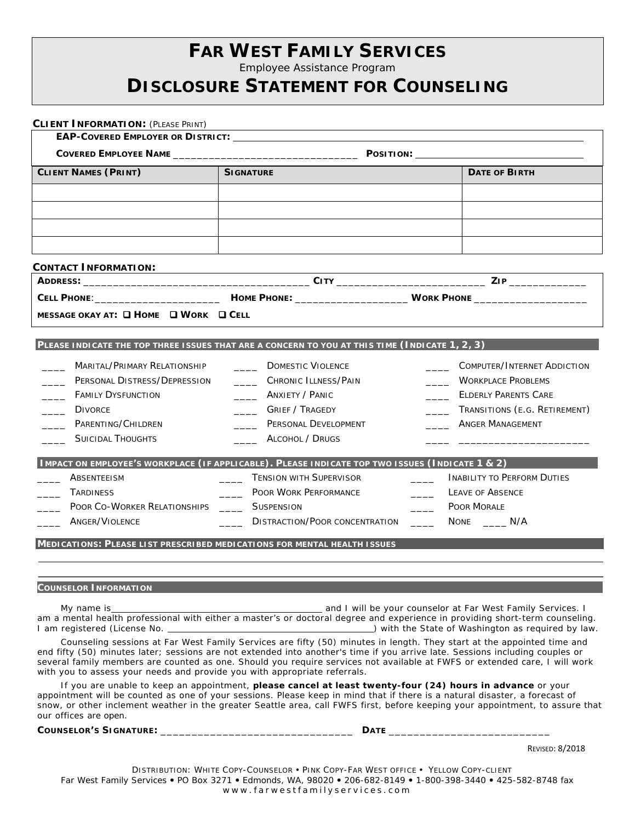## **FAR WEST FAMILY SERVICES**

Employee Assistance Program

## **DISCLOSURE STATEMENT FOR COUNSELING**

| <b>CLIENT NAMES (PRINT)</b>                          | <b>SIGNATURE</b>                                                                                | <b>DATE OF BIRTH</b>                                      |
|------------------------------------------------------|-------------------------------------------------------------------------------------------------|-----------------------------------------------------------|
|                                                      |                                                                                                 |                                                           |
|                                                      |                                                                                                 |                                                           |
|                                                      |                                                                                                 |                                                           |
|                                                      |                                                                                                 |                                                           |
| <b>CONTACT INFORMATION:</b>                          | <u> 1980 - Jan Samuel Barbara, margaret e</u>                                                   |                                                           |
|                                                      |                                                                                                 |                                                           |
|                                                      |                                                                                                 |                                                           |
| MESSAGE OKAY AT: $\Box$ HOME $\Box$ WORK $\Box$ CELL |                                                                                                 |                                                           |
|                                                      |                                                                                                 |                                                           |
|                                                      | PLEASE INDICATE THE TOP THREE ISSUES THAT ARE A CONCERN TO YOU AT THIS TIME (INDICATE 1, 2, 3)  |                                                           |
| Marital/Primary Relationship                         | <b>DOMESTIC VIOLENCE</b>                                                                        | COMPUTER/INTERNET ADDICTION                               |
| PERSONAL DISTRESS/DEPRESSION                         | CHRONIC ILLNESS/PAIN                                                                            | <b>WORKPLACE PROBLEMS</b>                                 |
| <b>FAMILY DYSFUNCTION</b>                            | <b>_____</b> ANXIETY / PANIC                                                                    | <b>ELDERLY PARENTS CARE</b>                               |
| <b>DIVORCE</b>                                       | Grief / Tragedy                                                                                 | TRANSITIONS (E.G. RETIREMENT)<br>$\overline{\phantom{a}}$ |
| PARENTING/CHILDREN                                   | PERSONAL DEVELOPMENT                                                                            | <b>ANGER MANAGEMENT</b>                                   |
| <b>SUICIDAL THOUGHTS</b>                             | ALCOHOL / DRUGS                                                                                 |                                                           |
|                                                      | IMPACT ON EMPLOYEE'S WORKPLACE (IF APPLICABLE). PLEASE INDICATE TOP TWO ISSUES (INDICATE 1 & 2) |                                                           |
| ABSENTEEISM                                          | <b>TENSION WITH SUPERVISOR</b>                                                                  | INABILITY TO PERFORM DUTIES                               |
| _____ TARDINESS                                      | Poor Work Performance                                                                           | $\overline{\phantom{a}}$<br><b>LEAVE OF ABSENCE</b>       |
| POOR CO-WORKER RELATIONSHIPS _______ SUSPENSION      |                                                                                                 | Poor Morale                                               |
| ANGER/VIOLENCE                                       | _____ DISTRACTION/POOR CONCENTRATION _____ NONE ____ N/A                                        |                                                           |
|                                                      |                                                                                                 |                                                           |

My name is and I will be your counselor at Far West Family Services. I am a mental health professional with either a master's or doctoral degree and experience in providing short-term counseling. im ) with the State of Washington as required by law.

Counseling sessions at Far West Family Services are fifty (50) minutes in length. They start at the appointed time and end fifty (50) minutes later; sessions are not extended into another's time if you arrive late. Sessions including couples or several family members are counted as one. Should you require services not available at FWFS or extended care, I will work with you to assess your needs and provide you with appropriate referrals.

If you are unable to keep an appointment, **please cancel at least twenty-four (24) hours in advance** or your appointment will be counted as one of your sessions. Please keep in mind that if there is a natural disaster, a forecast of snow, or other inclement weather in the greater Seattle area, call FWFS first, before keeping your appointment, to assure that our offices are open.

**COUNSELOR'S SIGNATURE:** \_\_\_\_\_\_\_\_\_\_\_\_\_\_\_\_\_\_\_\_\_\_\_\_\_\_\_\_\_\_\_ **DATE** \_\_\_\_\_\_\_\_\_\_\_\_\_\_\_\_\_\_\_\_\_\_\_\_\_\_

REVISED: 8/2018

DISTRIBUTION: WHITE COPY-COUNSELOR PINK COPY-FAR WEST OFFICE YELLOW COPY-CLIENT Far West Family Services . PO Box 3271 . Edmonds, WA, 98020 . 206-682-8149 . 1-800-398-3440 . 425-582-8748 fax www.farwestfamilyservices.com